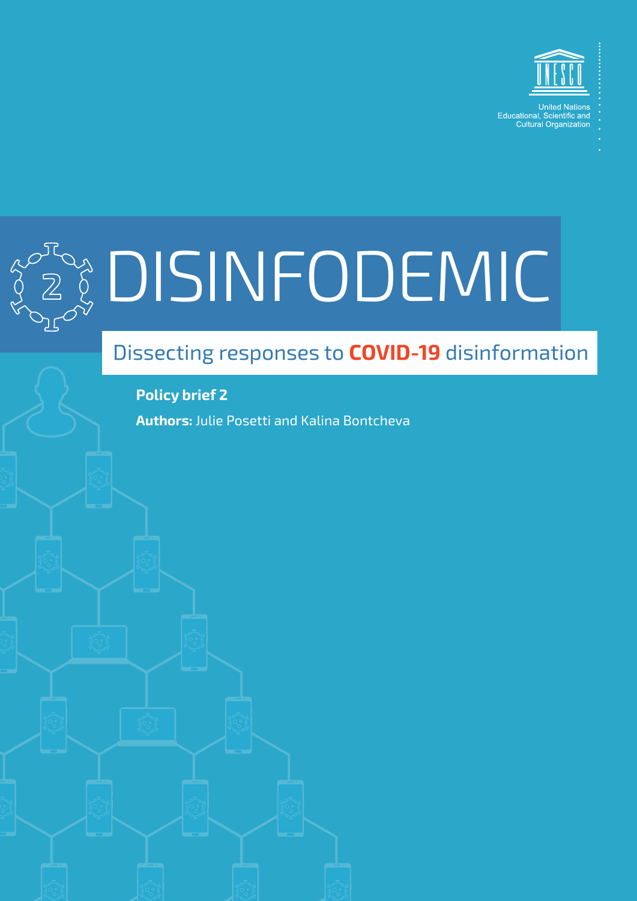



# 2 DISINFODEMIC

# Dissecting responses to **COVID-19** disinformation

**Policy brief 2**

**Authors:** Julie Posetti and Kalina Bontcheva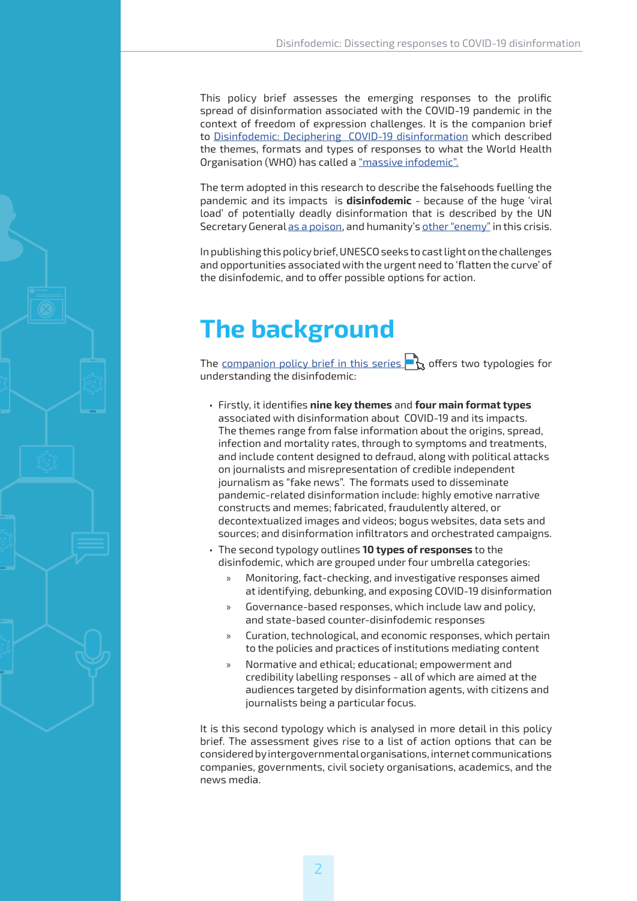This policy brief assesses the emerging responses to the prolific spread of disinformation associated with the COVID-19 pandemic in the context of freedom of expression challenges. It is the companion brief to [Disinfodemic: Deciphering COVID-19 disinformation](https://en.unesco.org/covid19/disinfodemic) which described the themes, formats and types of responses to what the World Health Organisation (WHO) has called a ["massive infodemic".](https://www.who.int/docs/default-source/coronaviruse/situation-reports/20200202-sitrep-13-ncov-v3.pdf)

The term adopted in this research to describe the falsehoods fuelling the pandemic and its impacts is **disinfodemic** - because of the huge 'viral load' of potentially deadly disinformation that is described by the UN Secretary General [as a poison,](https://www.un.org/en/un-coronavirus-communications-team/time-science-and-solidarity) and humanity's [other "enemy"](https://apnews.com/e829eddc01457c700d5541f2dc2beebc) in this crisis.

In publishing this policy brief, UNESCO seeks to cast light on the challenges and opportunities associated with the urgent need to 'flatten the curve' of the disinfodemic, and to offer possible options for action.

# **The background**

The companion [policy brief in this series](https://en.unesco.org/covid19/disinfodemic
) $\bigcap$  offers two typologies for understanding the disinfodemic:

- Firstly, it identifies **nine key themes** and **four main format types**  associated with disinformation about COVID-19 and its impacts. The themes range from false information about the origins, spread, infection and mortality rates, through to symptoms and treatments, and include content designed to defraud, along with political attacks on journalists and misrepresentation of credible independent journalism as "fake news". The formats used to disseminate pandemic-related disinformation include: highly emotive narrative constructs and memes; fabricated, fraudulently altered, or decontextualized images and videos; bogus websites, data sets and sources; and disinformation infiltrators and orchestrated campaigns.
- The second typology outlines **10 types of responses** to the disinfodemic, which are grouped under four umbrella categories:
	- » Monitoring, fact-checking, and investigative responses aimed at identifying, debunking, and exposing COVID-19 disinformation
	- » Governance-based responses, which include law and policy, and state-based counter-disinfodemic responses
	- » Curation, technological, and economic responses, which pertain to the policies and practices of institutions mediating content
	- » Normative and ethical; educational; empowerment and credibility labelling responses - all of which are aimed at the audiences targeted by disinformation agents, with citizens and journalists being a particular focus.

It is this second typology which is analysed in more detail in this policy brief. The assessment gives rise to a list of action options that can be considered by intergovernmental organisations, internet communications companies, governments, civil society organisations, academics, and the news media.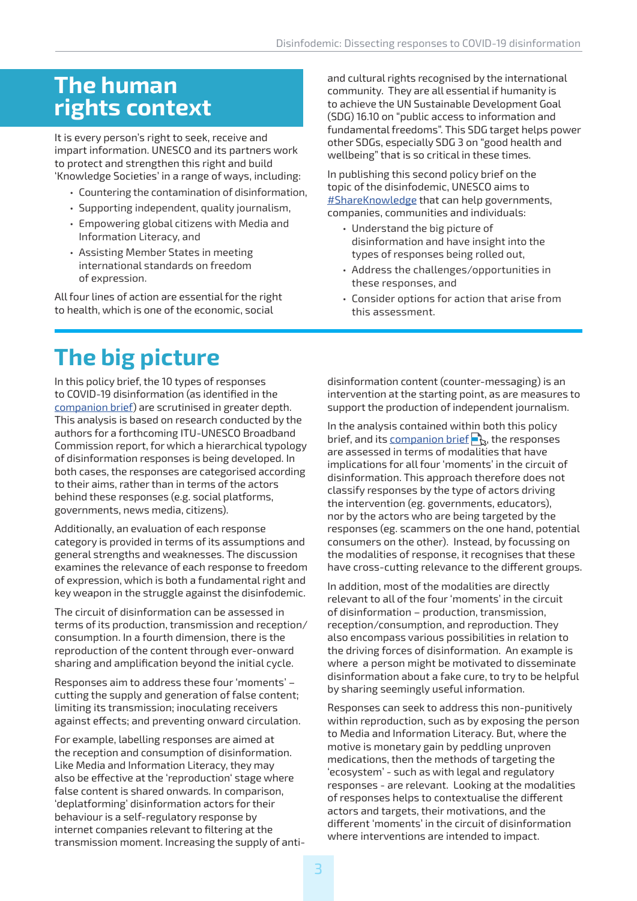# **The human rights context**

It is every person's right to seek, receive and impart information. UNESCO and its partners work to protect and strengthen this right and build 'Knowledge Societies' in a range of ways, including:

- Countering the contamination of disinformation,
- Supporting independent, quality journalism,
- Empowering global citizens with Media and Information Literacy, and
- Assisting Member States in meeting international standards on freedom of expression.

All four lines of action are essential for the right to health, which is one of the economic, social

and cultural rights recognised by the international community. They are all essential if humanity is to achieve the UN Sustainable Development Goal (SDG) 16.10 on "public access to information and fundamental freedoms". This SDG target helps power other SDGs, especially SDG 3 on "good health and wellbeing" that is so critical in these times.

In publishing this second policy brief on the topic of the disinfodemic, UNESCO aims to [#ShareKnowledge](https://en.unesco.org/covid19/disinfodemic) that can help governments, companies, communities and individuals:

- Understand the big picture of disinformation and have insight into the types of responses being rolled out,
- Address the challenges/opportunities in these responses, and
- Consider options for action that arise from this assessment.

# **The big picture**

In this policy brief, the 10 types of responses to COVID-19 disinformation (as identified in the [companion brief](https://en.unesco.org/covid19/disinfodemic)) are scrutinised in greater depth. This analysis is based on research conducted by the authors for a forthcoming ITU-UNESCO Broadband Commission report, for which a hierarchical typology of disinformation responses is being developed. In both cases, the responses are categorised according to their aims, rather than in terms of the actors behind these responses (e.g. social platforms, governments, news media, citizens).

Additionally, an evaluation of each response category is provided in terms of its assumptions and general strengths and weaknesses. The discussion examines the relevance of each response to freedom of expression, which is both a fundamental right and key weapon in the struggle against the disinfodemic.

The circuit of disinformation can be assessed in terms of its production, transmission and reception/ consumption. In a fourth dimension, there is the reproduction of the content through ever-onward sharing and amplification beyond the initial cycle.

Responses aim to address these four 'moments' – cutting the supply and generation of false content; limiting its transmission; inoculating receivers against effects; and preventing onward circulation.

For example, labelling responses are aimed at the reception and consumption of disinformation. Like Media and Information Literacy, they may also be effective at the 'reproduction' stage where false content is shared onwards. In comparison, 'deplatforming' disinformation actors for their behaviour is a self-regulatory response by internet companies relevant to filtering at the transmission moment. Increasing the supply of anti-

disinformation content (counter-messaging) is an intervention at the starting point, as are measures to support the production of independent journalism.

In the analysis contained wit[hin b](https://en.unesco.org/covid19/disinfodemic)oth this policy brief, and its [companion brief](https://en.unesco.org/covid19/disinfodemic)  $\mathbb{R}$ , the responses are assessed in terms of modalities that have implications for all four 'moments' in the circuit of disinformation. This approach therefore does not classify responses by the type of actors driving the intervention (eg. governments, educators), nor by the actors who are being targeted by the responses (eg. scammers on the one hand, potential consumers on the other). Instead, by focussing on the modalities of response, it recognises that these have cross-cutting relevance to the different groups.

In addition, most of the modalities are directly relevant to all of the four 'moments' in the circuit of disinformation – production, transmission, reception/consumption, and reproduction. They also encompass various possibilities in relation to the driving forces of disinformation. An example is where a person might be motivated to disseminate disinformation about a fake cure, to try to be helpful by sharing seemingly useful information.

Responses can seek to address this non-punitively within reproduction, such as by exposing the person to Media and Information Literacy. But, where the motive is monetary gain by peddling unproven medications, then the methods of targeting the 'ecosystem' - such as with legal and regulatory responses - are relevant. Looking at the modalities of responses helps to contextualise the different actors and targets, their motivations, and the different 'moments' in the circuit of disinformation where interventions are intended to impact.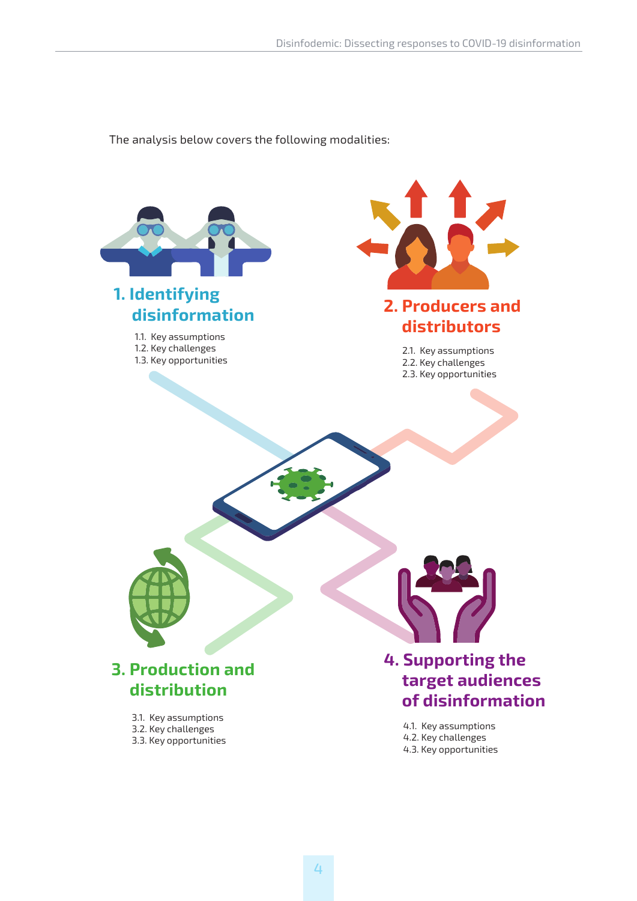The analysis below covers the following modalities:

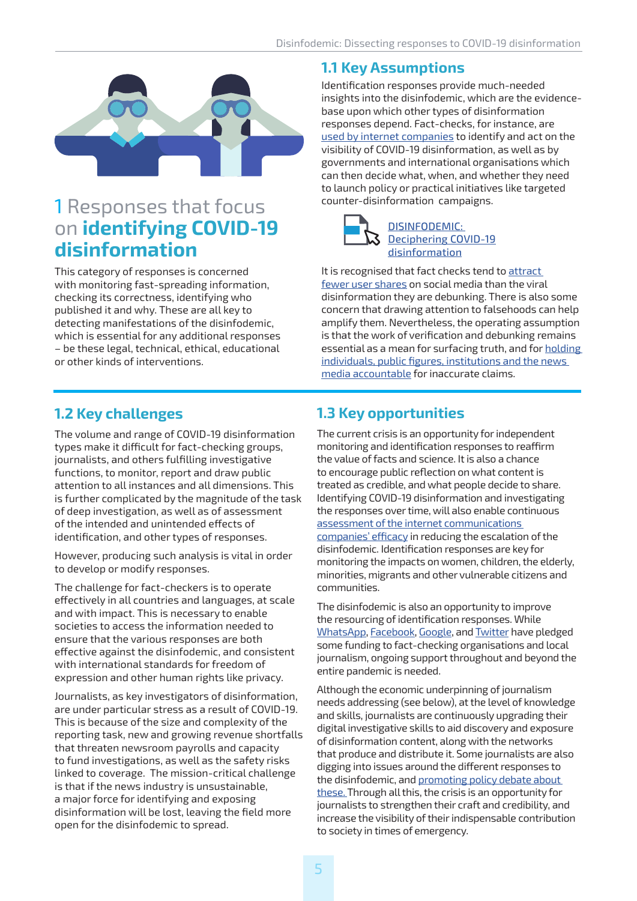

## 1 Responses that focus on **identifying COVID-19 disinformation**

This category of responses is concerned with monitoring fast-spreading information, checking its correctness, identifying who published it and why. These are all key to detecting manifestations of the disinfodemic, which is essential for any additional responses – be these legal, technical, ethical, educational or other kinds of interventions.

#### **1.2 Key challenges**

The volume and range of COVID-19 disinformation types make it difficult for fact-checking groups, journalists, and others fulfilling investigative functions, to monitor, report and draw public attention to all instances and all dimensions. This is further complicated by the magnitude of the task of deep investigation, as well as of assessment of the intended and unintended effects of identification, and other types of responses.

However, producing such analysis is vital in order to develop or modify responses.

The challenge for fact-checkers is to operate effectively in all countries and languages, at scale and with impact. This is necessary to enable societies to access the information needed to ensure that the various responses are both effective against the disinfodemic, and consistent with international standards for freedom of expression and other human rights like privacy.

Journalists, as key investigators of disinformation, are under particular stress as a result of COVID-19. This is because of the size and complexity of the reporting task, new and growing revenue shortfalls that threaten newsroom payrolls and capacity to fund investigations, as well as the safety risks linked to coverage. The mission-critical challenge is that if the news industry is unsustainable, a major force for identifying and exposing disinformation will be lost, leaving the field more open for the disinfodemic to spread.

#### **1.1 Key Assumptions**

Identification responses provide much-needed insights into the disinfodemic, which are the evidencebase upon which other types of disinformation responses depend. Fact-checks, for instance, are [used by internet companies](https://www.disinfo.eu/resources/covid-19/platforms-responses-to-covid-19-mis-and-disinformation) to identify and act on the visibility of COVID-19 disinformation, as well as by governments and international organisations which can then decide what, when, and whether they need to launch policy or practical initiatives like targeted counter-disinformation campaigns.



It is recognised that fact checks tend to [attract](https://academic.oup.com/joc/article-abstract/67/2/233/4082394?redirectedFrom=PDF)  [fewer user shares](https://academic.oup.com/joc/article-abstract/67/2/233/4082394?redirectedFrom=PDF) on social media than the viral disinformation they are debunking. There is also some concern that drawing attention to falsehoods can help amplify them. Nevertheless, the operating assumption is that the work of verification and debunking remains essential as a mean for surfacing truth, and for [holding](https://fullfact.org/blog/2020/mar/long-game-impact-fact-checkers/)  [individuals, public figures, institutions and the news](https://fullfact.org/blog/2020/mar/long-game-impact-fact-checkers/)  [media accountable](https://fullfact.org/blog/2020/mar/long-game-impact-fact-checkers/) for inaccurate claims.

#### **1.3 Key opportunities**

The current crisis is an opportunity for independent monitoring and identification responses to reaffirm the value of facts and science. It is also a chance to encourage public reflection on what content is treated as credible, and what people decide to share. Identifying COVID-19 disinformation and investigating the responses over time, will also enable continuous [assessment of the internet communications](https://www.disinfo.eu/resources/covid-19/platforms-responses-to-covid-19-mis-and-disinformation)  [companies' efficacy](https://www.disinfo.eu/resources/covid-19/platforms-responses-to-covid-19-mis-and-disinformation) in reducing the escalation of the disinfodemic. Identification responses are key for monitoring the impacts on women, children, the elderly, minorities, migrants and other vulnerable citizens and communities.

The disinfodemic is also an opportunity to improve the resourcing of identification responses. While [WhatsApp](https://www.poynter.org/fact-checking/2020/ifcn-receives-1-million-from-whatsapp-to-support-fact-checkers-on-the-coronavirus-battlefront/), [Facebook,](https://thehill.com/policy/technology/488065-facebook-donating-1-million-to-local-newsrooms-covering-coronavirus-and) [Google](https://www.voanews.com/science-health/coronavirus-outbreak/google-boosts-support-checking-coronavirus-facts), and [Twitter](https://blog.twitter.com/en_us/topics/company/2020/giving-back-covid-19.html) have pledged some funding to fact-checking organisations and local journalism, ongoing support throughout and beyond the entire pandemic is needed.

Although the economic underpinning of journalism needs addressing (see below), at the level of knowledge and skills, journalists are continuously upgrading their digital investigative skills to aid discovery and exposure of disinformation content, along with the networks that produce and distribute it. Some journalists are also digging into issues around the different responses to the disinfodemic, and [promoting policy debate about](https://foreignpolicy.com/2020/04/13/governments-coronavirus-pandemic-civil-liberties/)  [these. T](https://foreignpolicy.com/2020/04/13/governments-coronavirus-pandemic-civil-liberties/)hrough all this, the crisis is an opportunity for journalists to strengthen their craft and credibility, and increase the visibility of their indispensable contribution to society in times of emergency.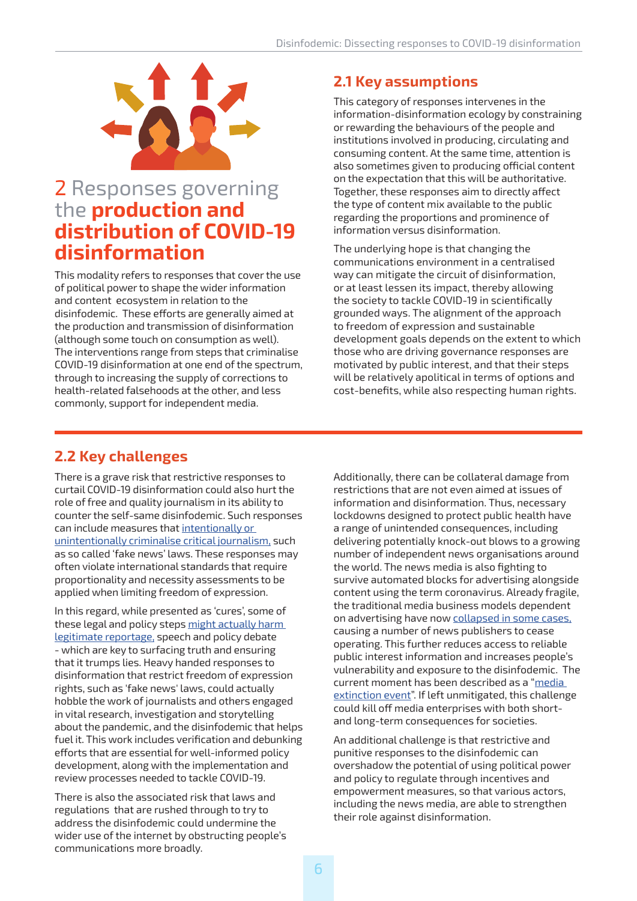

## 2 Responses governing the **production and distribution of COVID-19 disinformation**

This modality refers to responses that cover the use of political power to shape the wider information and content ecosystem in relation to the disinfodemic. These efforts are generally aimed at the production and transmission of disinformation (although some touch on consumption as well). The interventions range from steps that criminalise COVID-19 disinformation at one end of the spectrum, through to increasing the supply of corrections to health-related falsehoods at the other, and less commonly, support for independent media.

#### **2.1 Key assumptions**

This category of responses intervenes in the information-disinformation ecology by constraining or rewarding the behaviours of the people and institutions involved in producing, circulating and consuming content. At the same time, attention is also sometimes given to producing official content on the expectation that this will be authoritative. Together, these responses aim to directly affect the type of content mix available to the public regarding the proportions and prominence of information versus disinformation.

The underlying hope is that changing the communications environment in a centralised way can mitigate the circuit of disinformation, or at least lessen its impact, thereby allowing the society to tackle COVID-19 in scientifically grounded ways. The alignment of the approach to freedom of expression and sustainable development goals depends on the extent to which those who are driving governance responses are motivated by public interest, and that their steps will be relatively apolitical in terms of options and cost-benefits, while also respecting human rights.

#### **2.2 Key challenges**

There is a grave risk that restrictive responses to curtail COVID-19 disinformation could also hurt the role of free and quality journalism in its ability to counter the self-same disinfodemic. Such responses can include measures that [intentionally or](https://www.cjr.org/analysis/coronavirus-press-freedom-crackdown.php?utm_source=Daily+Lab+email+list&utm_campaign=c64ffaee17-dailylabemail3&utm_medium=email&utm_term=0_d68264fd5e-c64ffaee17-396039981)  [unintentionally criminalise critical journalism,](https://www.cjr.org/analysis/coronavirus-press-freedom-crackdown.php?utm_source=Daily+Lab+email+list&utm_campaign=c64ffaee17-dailylabemail3&utm_medium=email&utm_term=0_d68264fd5e-c64ffaee17-396039981) such as so called 'fake news' laws. These responses may often violate international standards that require proportionality and necessity assessments to be applied when limiting freedom of expression.

In this regard, while presented as 'cures', some of these legal and policy steps might actually harm [legitimate reportage,](https://ijnet.org/en/story/key-quotes-media-freedom-threats-and-covid-19-un-special-rapporteur-david-kaye-and-cpj%E2%80%99s) speech and policy debate - which are key to surfacing truth and ensuring that it trumps lies. Heavy handed responses to disinformation that restrict freedom of expression rights, such as 'fake news' laws, could actually hobble the work of journalists and others engaged in vital research, investigation and storytelling about the pandemic, and the disinfodemic that helps fuel it. This work includes verification and debunking efforts that are essential for well-informed policy development, along with the implementation and review processes needed to tackle COVID-19.

There is also the associated risk that laws and regulations that are rushed through to try to address the disinfodemic could undermine the wider use of the internet by obstructing people's communications more broadly.

Additionally, there can be collateral damage from restrictions that are not even aimed at issues of information and disinformation. Thus, necessary lockdowns designed to protect public health have a range of unintended consequences, including delivering potentially knock-out blows to a growing number of independent news organisations around the world. The news media is also fighting to survive automated blocks for advertising alongside content using the term coronavirus. Already fragile, the traditional media business models dependent on advertising have now [collapsed in some cases,](https://www.niemanlab.org/2020/03/newsonomics-tomorrows-life-or-death-decisions-for-newspapers-are-suddenly-todays-thanks-to-coronavirus/) causing a number of news publishers to cease operating. This further reduces access to reliable public interest information and increases people's vulnerability and exposure to the disinfodemic. The current moment has been described as a ["media](https://www.buzzfeednews.com/article/craigsilverman/coronavirus-news-industry-layoffs)  [extinction event".](https://www.buzzfeednews.com/article/craigsilverman/coronavirus-news-industry-layoffs) If left unmitigated, this challenge could kill off media enterprises with both shortand long-term consequences for societies.

An additional challenge is that restrictive and punitive responses to the disinfodemic can overshadow the potential of using political power and policy to regulate through incentives and empowerment measures, so that various actors, including the news media, are able to strengthen their role against disinformation.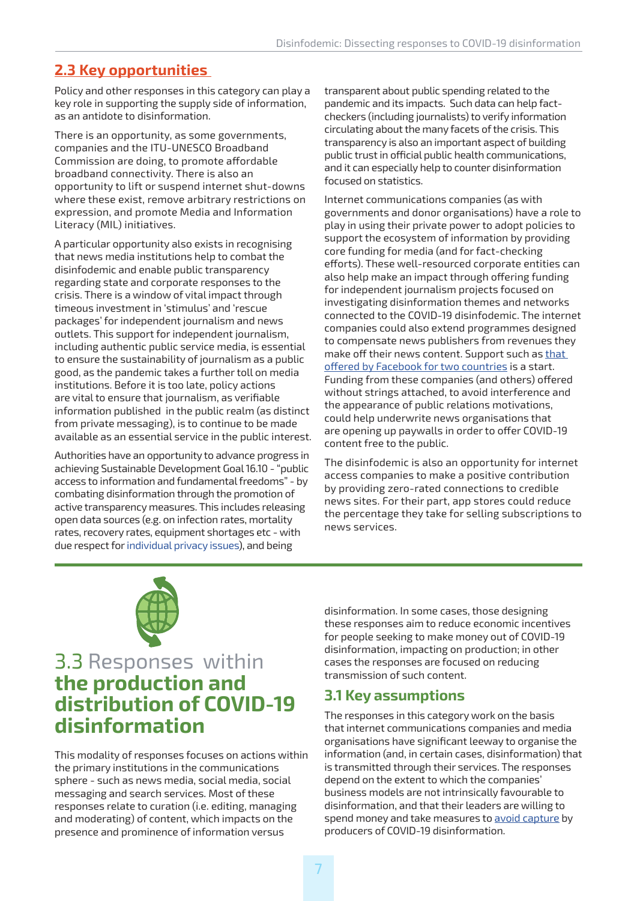#### **2.3 Key opportunities**

Policy and other responses in this category can play a key role in supporting the supply side of information, as an antidote to disinformation.

There is an opportunity, as some governments, companies and the ITU-UNESCO Broadband Commission are doing, to promote affordable broadband connectivity. There is also an opportunity to lift or suspend internet shut-downs where these exist, remove arbitrary restrictions on expression, and promote Media and Information Literacy (MIL) initiatives.

A particular opportunity also exists in recognising that news media institutions help to combat the disinfodemic and enable public transparency regarding state and corporate responses to the crisis. There is a window of vital impact through timeous investment in 'stimulus' and 'rescue packages' for independent journalism and news outlets. This support for independent journalism, including authentic public service media, is essential to ensure the sustainability of journalism as a public good, as the pandemic takes a further toll on media institutions. Before it is too late, policy actions are vital to ensure that journalism, as verifiable information published in the public realm (as distinct from private messaging), is to continue to be made available as an essential service in the public interest.

Authorities have an opportunity to advance progress in achieving Sustainable Development Goal 16.10 - "public access to information and fundamental freedoms" - by combating disinformation through the promotion of active transparency measures. This includes releasing open data sources (e.g. on infection rates, mortality rates, recovery rates, equipment shortages etc - with due respect for [individual privacy issues](https://www.theguardian.com/australia-news/2020/apr/14/australian-government-plans-to-bring-in-mobile-phone-app-to-track-people-with-coronavirus)), and being

transparent about public spending related to the pandemic and its impacts. Such data can help factcheckers (including journalists) to verify information circulating about the many facets of the crisis. This transparency is also an important aspect of building public trust in official public health communications, and it can especially help to counter disinformation focused on statistics.

Internet communications companies (as with governments and donor organisations) have a role to play in using their private power to adopt policies to support the ecosystem of information by providing core funding for media (and for fact-checking efforts). These well-resourced corporate entities can also help make an impact through offering funding for independent journalism projects focused on investigating disinformation themes and networks connected to the COVID-19 disinfodemic. The internet companies could also extend programmes designed to compensate news publishers from revenues they make off their news content. Support such as [that](https://www.localmedia.org/announcing-a-total-of-1-million-in-grants-to-support-coronavirus-news-reporting/)  [offered by Facebook for two countries](https://www.localmedia.org/announcing-a-total-of-1-million-in-grants-to-support-coronavirus-news-reporting/) is a start. Funding from these companies (and others) offered without strings attached, to avoid interference and the appearance of public relations motivations, could help underwrite news organisations that are opening up paywalls in order to offer COVID-19 content free to the public.

The disinfodemic is also an opportunity for internet access companies to make a positive contribution by providing zero-rated connections to credible news sites. For their part, app stores could reduce the percentage they take for selling subscriptions to news services.



## 3.3 Responses within **the production and distribution of COVID-19 disinformation**

This modality of responses focuses on actions within the primary institutions in the communications sphere - such as news media, social media, social messaging and search services. Most of these responses relate to curation (i.e. editing, managing and moderating) of content, which impacts on the presence and prominence of information versus

disinformation. In some cases, those designing these responses aim to reduce economic incentives for people seeking to make money out of COVID-19 disinformation, impacting on production; in other cases the responses are focused on reducing transmission of such content.

#### **3.1 Key assumptions**

The responses in this category work on the basis that internet communications companies and media organisations have significant leeway to organise the information (and, in certain cases, disinformation) that is transmitted through their services. The responses depend on the extent to which the companies' business models are not intrinsically favourable to disinformation, and that their leaders are willing to spend money and take measures to [avoid capture](https://www.niemanlab.org/2019/10/what-if-scale-breaks-community-how-to-reboot-audience-engagement-amid-political-attacks-and-platform-capture/) by producers of COVID-19 disinformation.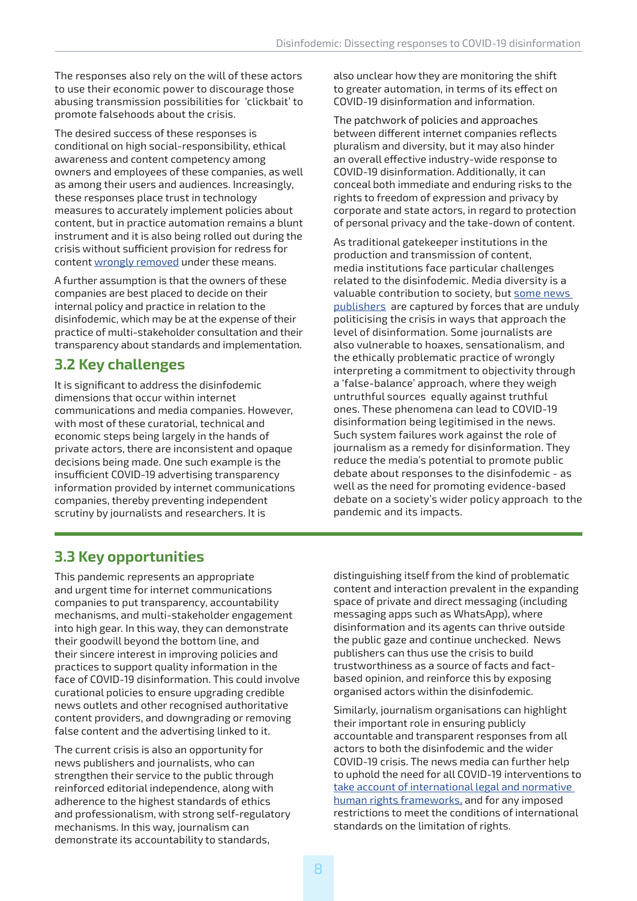The responses also rely on the will of these actors to use their economic power to discourage those abusing transmission possibilities for 'clickbait' to promote falsehoods about the crisis.

The desired success of these responses is conditional on high social-responsibility, ethical awareness and content competency among owners and employees of these companies, as well as among their users and audiences. Increasingly, these responses place trust in technology measures to accurately implement policies about content, but in practice automation remains a blunt instrument and it is also being rolled out during the crisis without sufficient provision for redress for content [wrongly removed](https://www.zdnet.com/article/was-your-facebook-post-on-the-coronavirus-deleted-this-is-why/) under these means.

A further assumption is that the owners of these companies are best placed to decide on their internal policy and practice in relation to the disinfodemic, which may be at the expense of their practice of multi-stakeholder consultation and their transparency about standards and implementation.

#### **3.2 Key challenges**

It is significant to address the disinfodemic dimensions that occur within internet communications and media companies. However, with most of these curatorial, technical and economic steps being largely in the hands of private actors, there are inconsistent and opaque decisions being made. One such example is the insufficient COVID-19 advertising transparency information provided by internet communications companies, thereby preventing independent scrutiny by journalists and researchers. It is

also unclear how they are monitoring the shift to greater automation, in terms of its effect on COVID-19 disinformation and information.

The patchwork of policies and approaches between different internet companies reflects pluralism and diversity, but it may also hinder an overall effective industry-wide response to COVID-19 disinformation. Additionally, it can conceal both immediate and enduring risks to the rights to freedom of expression and privacy by corporate and state actors, in regard to protection of personal privacy and the take-down of content.

As traditional gatekeeper institutions in the production and transmission of content, media institutions face particular challenges related to the disinfodemic. Media diversity is a valuable contribution to society, but [some news](https://www.cima.ned.org/publication/media-capture-in-the-service-of-power/)  [publishers](https://www.cima.ned.org/publication/media-capture-in-the-service-of-power/) are captured by forces that are unduly politicising the crisis in ways that approach the level of disinformation. Some journalists are also vulnerable to hoaxes, sensationalism, and the ethically problematic practice of wrongly interpreting a commitment to objectivity through a 'false-balance' approach, where they weigh untruthful sources equally against truthful ones. These phenomena can lead to COVID-19 disinformation being legitimised in the news. Such system failures work against the role of journalism as a remedy for disinformation. They reduce the media's potential to promote public debate about responses to the disinfodemic - as well as the need for promoting evidence-based debate on a society's wider policy approach to the pandemic and its impacts.

#### **3.3 Key opportunities**

This pandemic represents an appropriate and urgent time for internet communications companies to put transparency, accountability mechanisms, and multi-stakeholder engagement into high gear. In this way, they can demonstrate their goodwill beyond the bottom line, and their sincere interest in improving policies and practices to support quality information in the face of COVID-19 disinformation. This could involve curational policies to ensure upgrading credible news outlets and other recognised authoritative content providers, and downgrading or removing false content and the advertising linked to it.

The current crisis is also an opportunity for news publishers and journalists, who can strengthen their service to the public through reinforced editorial independence, along with adherence to the highest standards of ethics and professionalism, with strong self-regulatory mechanisms. In this way, journalism can demonstrate its accountability to standards,

distinguishing itself from the kind of problematic content and interaction prevalent in the expanding space of private and direct messaging (including messaging apps such as WhatsApp), where disinformation and its agents can thrive outside the public gaze and continue unchecked. News publishers can thus use the crisis to build trustworthiness as a source of facts and factbased opinion, and reinforce this by exposing organised actors within the disinfodemic.

Similarly, journalism organisations can highlight their important role in ensuring publicly accountable and transparent responses from all actors to both the disinfodemic and the wider COVID-19 crisis. The news media can further help to uphold the need for all COVID-19 interventions to [take account of international legal and normative](https://www.article19.org/wp-content/uploads/2020/03/Coronavirus-final.pdf)  [human rights frameworks,](https://www.article19.org/wp-content/uploads/2020/03/Coronavirus-final.pdf) and for any imposed restrictions to meet the conditions of international standards on the limitation of rights.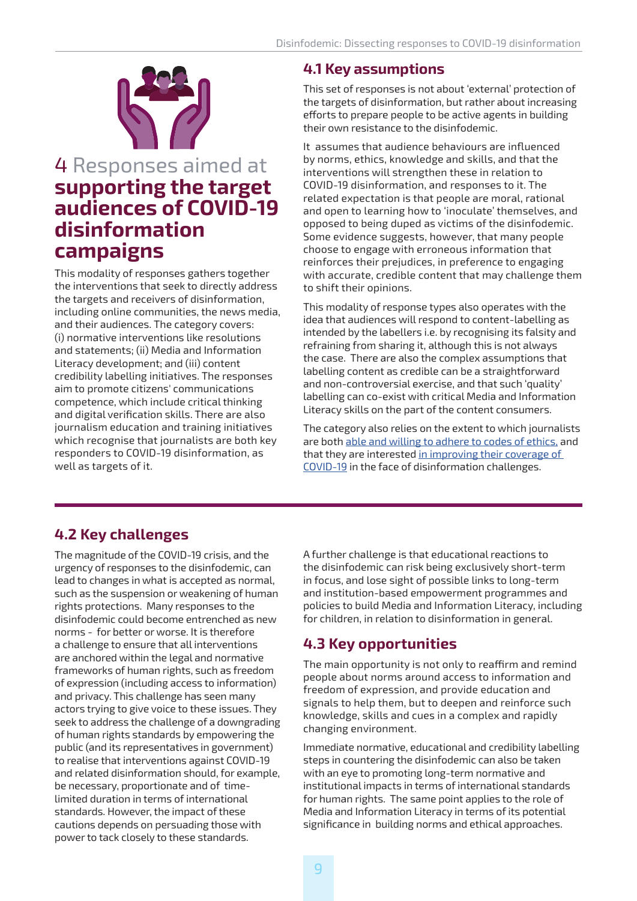

## 4 Responses aimed at **supporting the target audiences of COVID-19 disinformation campaigns**

This modality of responses gathers together the interventions that seek to directly address the targets and receivers of disinformation, including online communities, the news media, and their audiences. The category covers: (i) normative interventions like resolutions and statements; (ii) Media and Information Literacy development; and (iii) content credibility labelling initiatives. The responses aim to promote citizens' communications competence, which include critical thinking and digital verification skills. There are also journalism education and training initiatives which recognise that journalists are both key responders to COVID-19 disinformation, as well as targets of it.

#### **4.1 Key assumptions**

This set of responses is not about 'external' protection of the targets of disinformation, but rather about increasing efforts to prepare people to be active agents in building their own resistance to the disinfodemic.

It assumes that audience behaviours are influenced by norms, ethics, knowledge and skills, and that the interventions will strengthen these in relation to COVID-19 disinformation, and responses to it. The related expectation is that people are moral, rational and open to learning how to 'inoculate' themselves, and opposed to being duped as victims of the disinfodemic. Some evidence suggests, however, that many people choose to engage with erroneous information that reinforces their prejudices, in preference to engaging with accurate, credible content that may challenge them to shift their opinions.

This modality of response types also operates with the idea that audiences will respond to content-labelling as intended by the labellers i.e. by recognising its falsity and refraining from sharing it, although this is not always the case. There are also the complex assumptions that labelling content as credible can be a straightforward and non-controversial exercise, and that such 'quality' labelling can co-exist with critical Media and Information Literacy skills on the part of the content consumers.

The category also relies on the extent to which journalists are both [able and willing to adhere to codes of ethics,](https://ethicaljournalismnetwork.org/media-ethics-safety-and-mental-health-reporting-in-the-time-of-covid-19) and that they are interested in improving their coverage of [COVID-19](https://www.theguardian.com/media/2020/mar/22/the-coronavirus-story-is-unfathomably-large-we-must-get-the-reporting-right) in the face of disinformation challenges.

#### **4.2 Key challenges**

The magnitude of the COVID-19 crisis, and the urgency of responses to the disinfodemic, can lead to changes in what is accepted as normal, such as the suspension or weakening of human rights protections. Many responses to the disinfodemic could become entrenched as new norms - for better or worse. It is therefore a challenge to ensure that all interventions are anchored within the legal and normative frameworks of human rights, such as freedom of expression (including access to information) and privacy. This challenge has seen many actors trying to give voice to these issues. They seek to address the challenge of a downgrading of human rights standards by empowering the public (and its representatives in government) to realise that interventions against COVID-19 and related disinformation should, for example, be necessary, proportionate and of timelimited duration in terms of international standards. However, the impact of these cautions depends on persuading those with power to tack closely to these standards.

A further challenge is that educational reactions to the disinfodemic can risk being exclusively short-term in focus, and lose sight of possible links to long-term and institution-based empowerment programmes and policies to build Media and Information Literacy, including for children, in relation to disinformation in general.

#### **4.3 Key opportunities**

The main opportunity is not only to reaffirm and remind people about norms around access to information and freedom of expression, and provide education and signals to help them, but to deepen and reinforce such knowledge, skills and cues in a complex and rapidly changing environment.

Immediate normative, educational and credibility labelling steps in countering the disinfodemic can also be taken with an eye to promoting long-term normative and institutional impacts in terms of international standards for human rights. The same point applies to the role of Media and Information Literacy in terms of its potential significance in building norms and ethical approaches.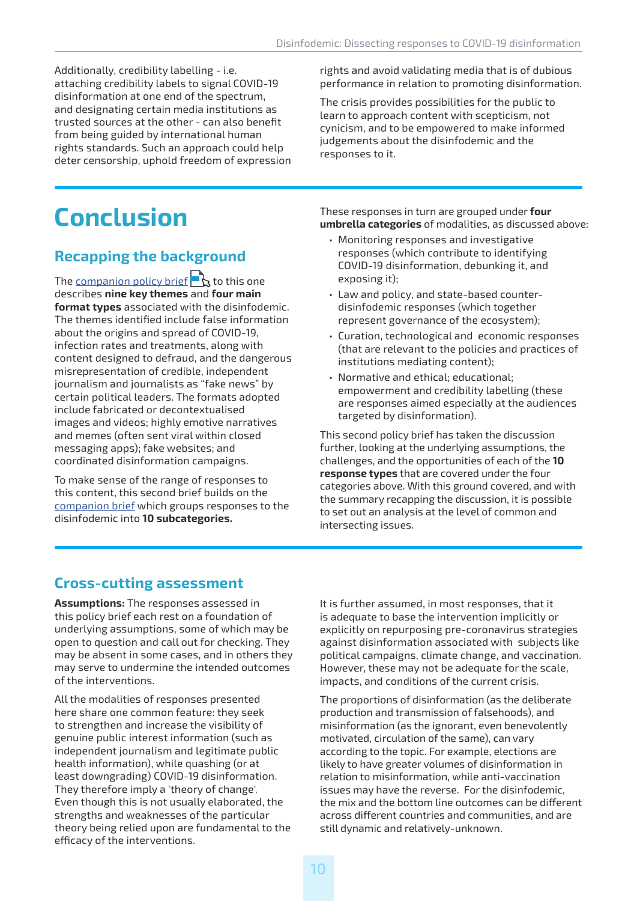Additionally, credibility labelling - i.e. attaching credibility labels to signal COVID-19 disinformation at one end of the spectrum, and designating certain media institutions as trusted sources at the other - can also benefit from being guided by international human rights standards. Such an approach could help deter censorship, uphold freedom of expression rights and avoid validating media that is of dubious performance in relation to promoting disinformation.

The crisis provides possibilities for the public to learn to approach content with scepticism, not cynicism, and to be empowered to make informed judgements about the disinfodemic and the responses to it.

# **Conclusion**

#### **Recapping the background**

The [companion policy brief](https://en.unesco.org/covid19/disinfodemic)  $\bigcap$  to this one describes **nine key themes** and **four main format types** associated with the disinfodemic. The themes identified include false information about the origins and spread of COVID-19, infection rates and treatments, along with content designed to defraud, and the dangerous misrepresentation of credible, independent journalism and journalists as "fake news" by certain political leaders. The formats adopted include fabricated or decontextualised images and videos; highly emotive narratives and memes (often sent viral within closed messaging apps); fake websites; and coordinated disinformation campaigns.

To make sense of the range of responses to this content, this second brief builds on the [companion brief](https://en.unesco.org/covid19/disinfodemic) which groups responses to the disinfodemic into **10 subcategories.** 

These responses in turn are grouped under **four umbrella categories** of modalities, as discussed above:

- Monitoring responses and investigative responses (which contribute to identifying COVID-19 disinformation, debunking it, and exposing it);
- Law and policy, and state-based counterdisinfodemic responses (which together represent governance of the ecosystem);
- Curation, technological and economic responses (that are relevant to the policies and practices of institutions mediating content);
- Normative and ethical; educational; empowerment and credibility labelling (these are responses aimed especially at the audiences targeted by disinformation).

This second policy brief has taken the discussion further, looking at the underlying assumptions, the challenges, and the opportunities of each of the **10 response types** that are covered under the four categories above. With this ground covered, and with the summary recapping the discussion, it is possible to set out an analysis at the level of common and intersecting issues.

#### **Cross-cutting assessment**

**Assumptions:** The responses assessed in this policy brief each rest on a foundation of underlying assumptions, some of which may be open to question and call out for checking. They may be absent in some cases, and in others they may serve to undermine the intended outcomes of the interventions.

All the modalities of responses presented here share one common feature: they seek to strengthen and increase the visibility of genuine public interest information (such as independent journalism and legitimate public health information), while quashing (or at least downgrading) COVID-19 disinformation. They therefore imply a 'theory of change'. Even though this is not usually elaborated, the strengths and weaknesses of the particular theory being relied upon are fundamental to the efficacy of the interventions.

It is further assumed, in most responses, that it is adequate to base the intervention implicitly or explicitly on repurposing pre-coronavirus strategies against disinformation associated with subjects like political campaigns, climate change, and vaccination. However, these may not be adequate for the scale, impacts, and conditions of the current crisis.

The proportions of disinformation (as the deliberate production and transmission of falsehoods), and misinformation (as the ignorant, even benevolently motivated, circulation of the same), can vary according to the topic. For example, elections are likely to have greater volumes of disinformation in relation to misinformation, while anti-vaccination issues may have the reverse. For the disinfodemic, the mix and the bottom line outcomes can be different across different countries and communities, and are still dynamic and relatively-unknown.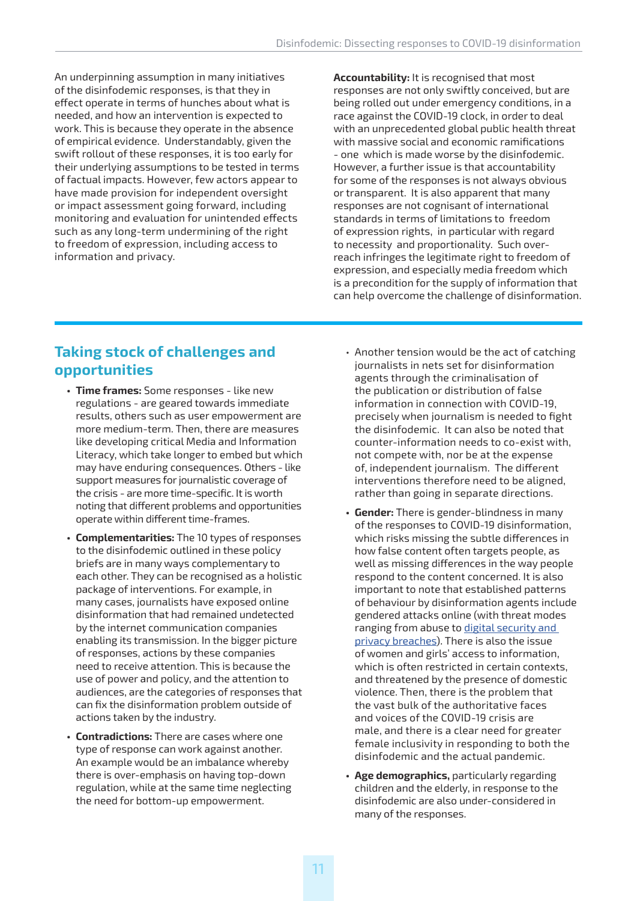An underpinning assumption in many initiatives of the disinfodemic responses, is that they in effect operate in terms of hunches about what is needed, and how an intervention is expected to work. This is because they operate in the absence of empirical evidence. Understandably, given the swift rollout of these responses, it is too early for their underlying assumptions to be tested in terms of factual impacts. However, few actors appear to have made provision for independent oversight or impact assessment going forward, including monitoring and evaluation for unintended effects such as any long-term undermining of the right to freedom of expression, including access to information and privacy.

**Accountability:** It is recognised that most responses are not only swiftly conceived, but are being rolled out under emergency conditions, in a race against the COVID-19 clock, in order to deal with an unprecedented global public health threat with massive social and economic ramifications - one which is made worse by the disinfodemic. However, a further issue is that accountability for some of the responses is not always obvious or transparent. It is also apparent that many responses are not cognisant of international standards in terms of limitations to freedom of expression rights, in particular with regard to necessity and proportionality. Such overreach infringes the legitimate right to freedom of expression, and especially media freedom which is a precondition for the supply of information that can help overcome the challenge of disinformation.

#### **Taking stock of challenges and opportunities**

- **• Time frames:** Some responses like new regulations - are geared towards immediate results, others such as user empowerment are more medium-term. Then, there are measures like developing critical Media and Information Literacy, which take longer to embed but which may have enduring consequences. Others - like support measures for journalistic coverage of the crisis - are more time-specific. It is worth noting that different problems and opportunities operate within different time-frames.
- **• Complementarities:** The 10 types of responses to the disinfodemic outlined in these policy briefs are in many ways complementary to each other. They can be recognised as a holistic package of interventions. For example, in many cases, journalists have exposed online disinformation that had remained undetected by the internet communication companies enabling its transmission. In the bigger picture of responses, actions by these companies need to receive attention. This is because the use of power and policy, and the attention to audiences, are the categories of responses that can fix the disinformation problem outside of actions taken by the industry.
- **• Contradictions:** There are cases where one type of response can work against another. An example would be an imbalance whereby there is over-emphasis on having top-down regulation, while at the same time neglecting the need for bottom-up empowerment.
- Another tension would be the act of catching journalists in nets set for disinformation agents through the criminalisation of the publication or distribution of false information in connection with COVID-19, precisely when journalism is needed to fight the disinfodemic. It can also be noted that counter-information needs to co-exist with, not compete with, nor be at the expense of, independent journalism. The different interventions therefore need to be aligned, rather than going in separate directions.
- **• Gender:** There is gender-blindness in many of the responses to COVID-19 disinformation, which risks missing the subtle differences in how false content often targets people, as well as missing differences in the way people respond to the content concerned. It is also important to note that established patterns of behaviour by disinformation agents include gendered attacks online (with threat modes ranging from abuse to digital security and [privacy breaches\)](https://en.unesco.org/sites/default/files/module_7.pdf). There is also the issue of women and girls' access to information, which is often restricted in certain contexts, and threatened by the presence of domestic violence. Then, there is the problem that the vast bulk of the authoritative faces and voices of the COVID-19 crisis are male, and there is a clear need for greater female inclusivity in responding to both the disinfodemic and the actual pandemic.
- **• Age demographics,** particularly regarding children and the elderly, in response to the disinfodemic are also under-considered in many of the responses.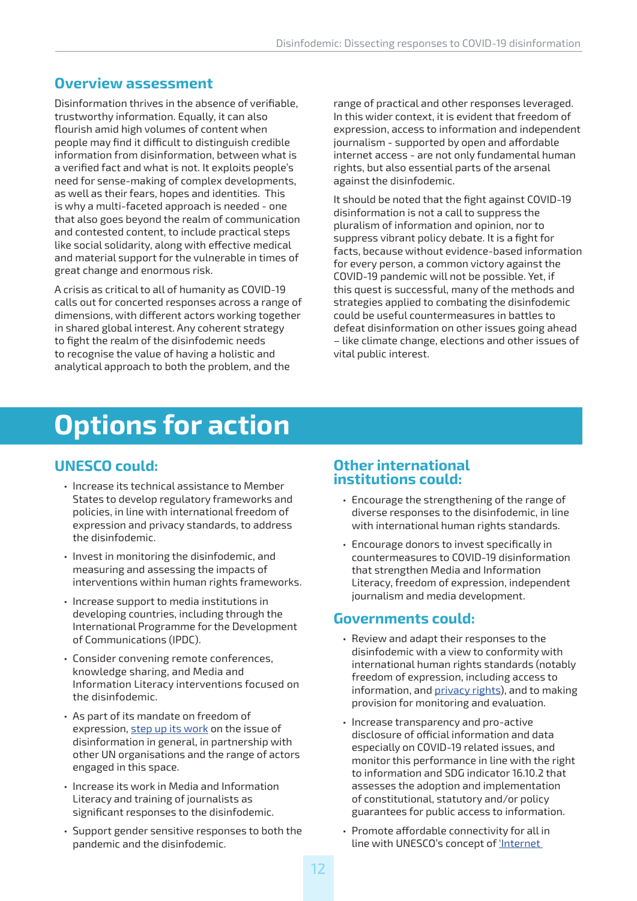#### **Overview assessment**

Disinformation thrives in the absence of verifiable, trustworthy information. Equally, it can also flourish amid high volumes of content when people may find it difficult to distinguish credible information from disinformation, between what is a verified fact and what is not. It exploits people's need for sense-making of complex developments, as well as their fears, hopes and identities. This is why a multi-faceted approach is needed - one that also goes beyond the realm of communication and contested content, to include practical steps like social solidarity, along with effective medical and material support for the vulnerable in times of great change and enormous risk.

A crisis as critical to all of humanity as COVID-19 calls out for concerted responses across a range of dimensions, with different actors working together in shared global interest. Any coherent strategy to fight the realm of the disinfodemic needs to recognise the value of having a holistic and analytical approach to both the problem, and the

range of practical and other responses leveraged. In this wider context, it is evident that freedom of expression, access to information and independent journalism - supported by open and affordable internet access - are not only fundamental human rights, but also essential parts of the arsenal against the disinfodemic.

It should be noted that the fight against COVID-19 disinformation is not a call to suppress the pluralism of information and opinion, nor to suppress vibrant policy debate. It is a fight for facts, because without evidence-based information for every person, a common victory against the COVID-19 pandemic will not be possible. Yet, if this quest is successful, many of the methods and strategies applied to combating the disinfodemic could be useful countermeasures in battles to defeat disinformation on other issues going ahead – like climate change, elections and other issues of vital public interest.

# **Options for action**

#### **UNESCO could:**

- Increase its technical assistance to Member States to develop regulatory frameworks and policies, in line with international freedom of expression and privacy standards, to address the disinfodemic.
- Invest in monitoring the disinfodemic, and measuring and assessing the impacts of interventions within human rights frameworks.
- Increase support to media institutions in developing countries, including through the International Programme for the Development of Communications (IPDC).
- Consider convening remote conferences, knowledge sharing, and Media and Information Literacy interventions focused on the disinfodemic.
- As part of its mandate on freedom of expression, [step up its work](https://en.unesco.org/fightfakenews) on the issue of disinformation in general, in partnership with other UN organisations and the range of actors engaged in this space.
- Increase its work in Media and Information Literacy and training of journalists as significant responses to the disinfodemic.
- Support gender sensitive responses to both the pandemic and the disinfodemic.

#### **Other international institutions could:**

- Encourage the strengthening of the range of diverse responses to the disinfodemic, in line with international human rights standards.
- Encourage donors to invest specifically in countermeasures to COVID-19 disinformation that strengthen Media and Information Literacy, freedom of expression, independent journalism and media development.

#### **Governments could:**

- Review and adapt their responses to the disinfodemic with a view to conformity with international human rights standards (notably freedom of expression, including access to information, and [privacy rights\)](https://unesdoc.unesco.org/ark:/48223/pf0000248054/PDF/248054eng.pdf.multi), and to making provision for monitoring and evaluation.
- Increase transparency and pro-active disclosure of official information and data especially on COVID-19 related issues, and monitor this performance in line with the right to information and SDG indicator 16.10.2 that assesses the adoption and implementation of constitutional, statutory and/or policy guarantees for public access to information.
- Promote affordable connectivity for all in line with UNESCO's concept of ['Internet](https://en.unesco.org/internet-universality-indicators/background)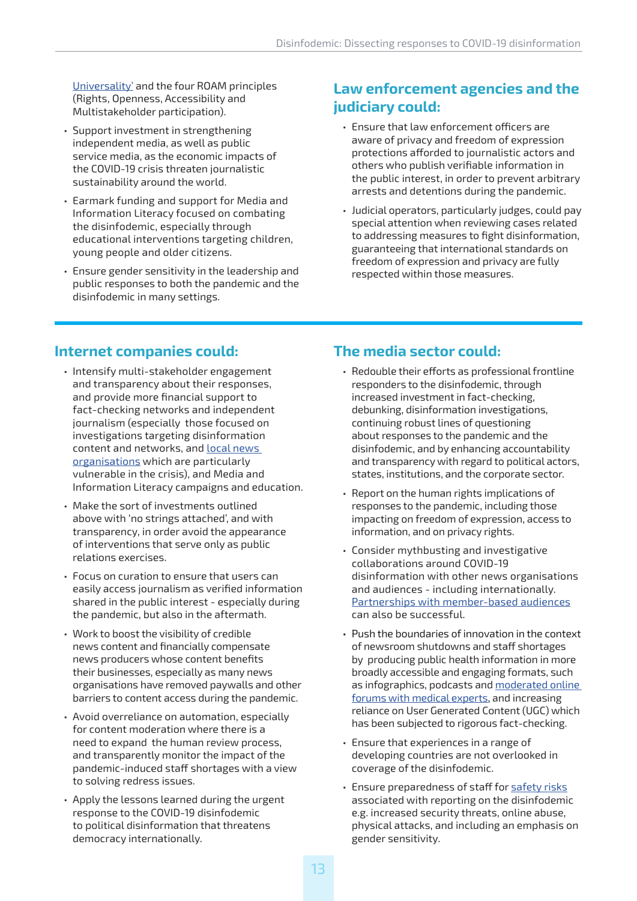[Universality'](https://en.unesco.org/internet-universality-indicators/background) and the four ROAM principles (Rights, Openness, Accessibility and Multistakeholder participation).

- Support investment in strengthening independent media, as well as public service media, as the economic impacts of the COVID-19 crisis threaten journalistic sustainability around the world.
- Earmark funding and support for Media and Information Literacy focused on combating the disinfodemic, especially through educational interventions targeting children, young people and older citizens.
- Ensure gender sensitivity in the leadership and public responses to both the pandemic and the disinfodemic in many settings.

#### **Law enforcement agencies and the judiciary could:**

- Ensure that law enforcement officers are aware of privacy and freedom of expression protections afforded to journalistic actors and others who publish verifiable information in the public interest, in order to prevent arbitrary arrests and detentions during the pandemic.
- Judicial operators, particularly judges, could pay special attention when reviewing cases related to addressing measures to fight disinformation, guaranteeing that international standards on freedom of expression and privacy are fully respected within those measures.

#### **Internet companies could:**

- Intensify multi-stakeholder engagement and transparency about their responses, and provide more financial support to fact-checking networks and independent journalism (especially those focused on investigations targeting disinformation content and networks, and **local news** [organisations](https://www.theguardian.com/media/2020/apr/14/dozens-of-australian-newspapers-stop-printing-as-coronavirus-crisis-hits-advertising) which are particularly vulnerable in the crisis), and Media and Information Literacy campaigns and education.
- Make the sort of investments outlined above with 'no strings attached', and with transparency, in order avoid the appearance of interventions that serve only as public relations exercises.
- Focus on curation to ensure that users can easily access journalism as verified information shared in the public interest - especially during the pandemic, but also in the aftermath.
- Work to boost the visibility of credible news content and financially compensate news producers whose content benefits their businesses, especially as many news organisations have removed paywalls and other barriers to content access during the pandemic.
- Avoid overreliance on automation, especially for content moderation where there is a need to expand the human review process, and transparently monitor the impact of the pandemic-induced staff shortages with a view to solving redress issues.
- Apply the lessons learned during the urgent response to the COVID-19 disinfodemic to political disinformation that threatens democracy internationally.

#### **The media sector could:**

- Redouble their efforts as professional frontline responders to the disinfodemic, through increased investment in fact-checking, debunking, disinformation investigations, continuing robust lines of questioning about responses to the pandemic and the disinfodemic, and by enhancing accountability and transparency with regard to political actors, states, institutions, and the corporate sector.
- Report on the human rights implications of responses to the pandemic, including those impacting on freedom of expression, access to information, and on privacy rights.
- Consider mythbusting and investigative collaborations around COVID-19 disinformation with other news organisations and audiences - including internationally. [Partnerships with member-based audiences](https://reutersinstitute.politics.ox.ac.uk/sites/default/files/2019-04/Posetti_Lessons_in_Innovation_FINAL.pdf) can also be successful.
- Push the boundaries of innovation in the context of newsroom shutdowns and staff shortages by producing public health information in more broadly accessible and engaging formats, such as infographics, podcasts and [moderated online](https://www.icfj.org/covering-covid-19-webinars-experts)  [forums with medical experts](https://www.icfj.org/covering-covid-19-webinars-experts), and increasing reliance on User Generated Content (UGC) which has been subjected to rigorous fact-checking.
- Ensure that experiences in a range of developing countries are not overlooked in coverage of the disinfodemic.
- Ensure preparedness of staff for [safety risks](https://cpj.org/2020/02/cpj-safety-advisory-covering-the-coronavirus-outbr.php) associated with reporting on the disinfodemic e.g. increased security threats, online abuse, physical attacks, and including an emphasis on gender sensitivity.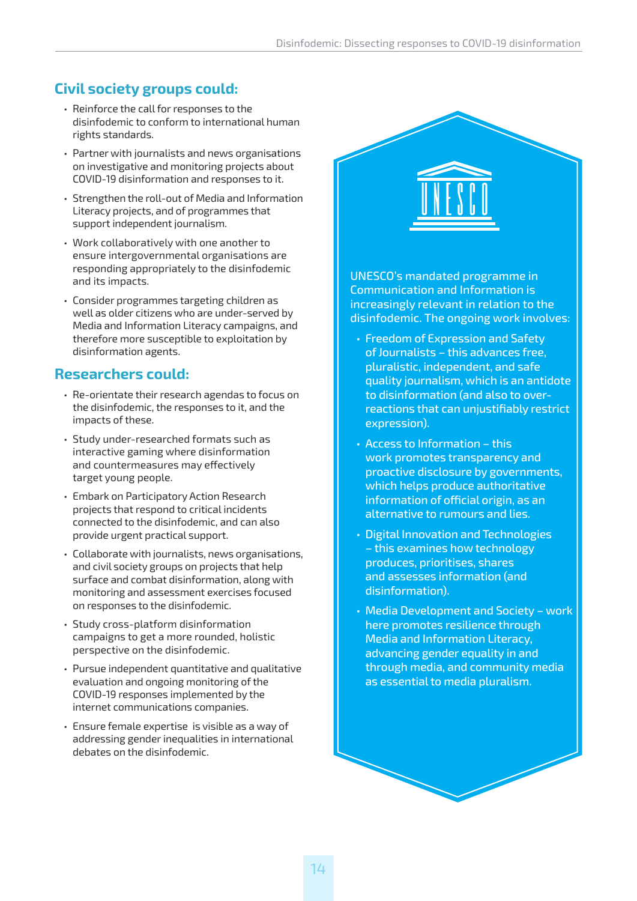#### **Civil society groups could:**

- Reinforce the call for responses to the disinfodemic to conform to international human rights standards.
- Partner with journalists and news organisations on investigative and monitoring projects about COVID-19 disinformation and responses to it.
- Strengthen the roll-out of Media and Information Literacy projects, and of programmes that support independent journalism.
- Work collaboratively with one another to ensure intergovernmental organisations are responding appropriately to the disinfodemic and its impacts.
- Consider programmes targeting children as well as older citizens who are under-served by Media and Information Literacy campaigns, and therefore more susceptible to exploitation by disinformation agents.

#### **Researchers could:**

- Re-orientate their research agendas to focus on the disinfodemic, the responses to it, and the impacts of these.
- Study under-researched formats such as interactive gaming where disinformation and countermeasures may effectively target young people.
- Embark on Participatory Action Research projects that respond to critical incidents connected to the disinfodemic, and can also provide urgent practical support.
- Collaborate with journalists, news organisations, and civil society groups on projects that help surface and combat disinformation, along with monitoring and assessment exercises focused on responses to the disinfodemic.
- Study cross-platform disinformation campaigns to get a more rounded, holistic perspective on the disinfodemic.
- Pursue independent quantitative and qualitative evaluation and ongoing monitoring of the COVID-19 responses implemented by the internet communications companies.
- Ensure female expertise is visible as a way of addressing gender inequalities in international debates on the disinfodemic.

UNESCO's mandated programme in Communication and Information is increasingly relevant in relation to the disinfodemic. The ongoing work involves:

- Freedom of Expression and Safety of Journalists – this advances free, pluralistic, independent, and safe quality journalism, which is an antidote to disinformation (and also to overreactions that can unjustifiably restrict expression).
- Access to Information this work promotes transparency and proactive disclosure by governments, which helps produce authoritative information of official origin, as an alternative to rumours and lies.
- Digital Innovation and Technologies – this examines how technology produces, prioritises, shares and assesses information (and disinformation).
- Media Development and Society work here promotes resilience through Media and Information Literacy, advancing gender equality in and through media, and community media as essential to media pluralism.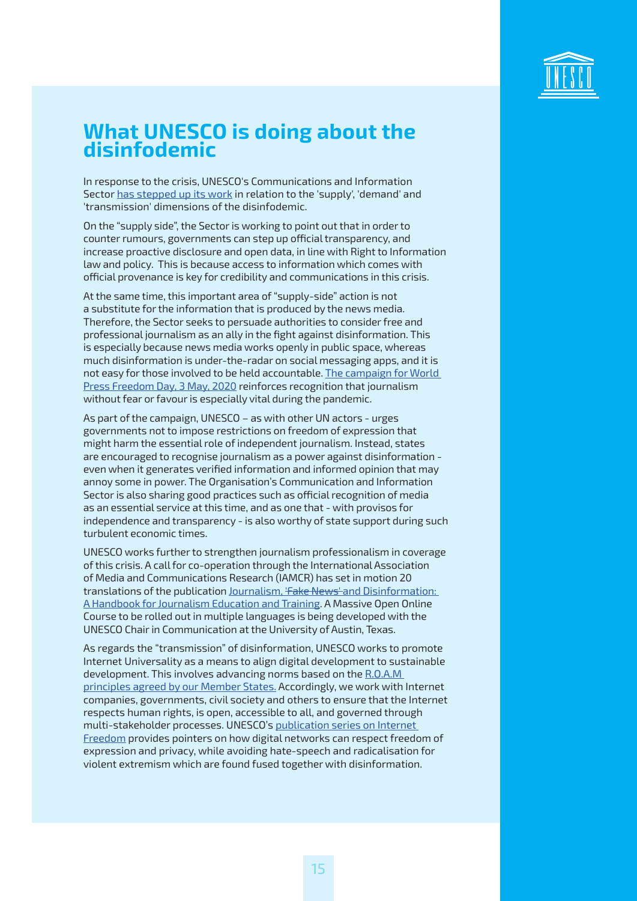

## **What UNESCO is doing about the disinfodemic**

In response to the crisis, UNESCO's Communications and Information Sector [has stepped up its work](https://en.unesco.org/covid19/communicationinformationresponse/mediasupport) in relation to the 'supply', 'demand' and 'transmission' dimensions of the disinfodemic.

On the "supply side", the Sector is working to point out that in order to counter rumours, governments can step up official transparency, and increase proactive disclosure and open data, in line with Right to Information law and policy. This is because access to information which comes with official provenance is key for credibility and communications in this crisis.

At the same time, this important area of "supply-side" action is not a substitute for the information that is produced by the news media. Therefore, the Sector seeks to persuade authorities to consider free and professional journalism as an ally in the fight against disinformation. This is especially because news media works openly in public space, whereas much disinformation is under-the-radar on social messaging apps, and it is not easy for those involved to be held accountable. [The campaign for World](https://en.unesco.org/commemorations/worldpressfreedomday)  [Press Freedom Day, 3 May, 2020](https://en.unesco.org/commemorations/worldpressfreedomday) reinforces recognition that journalism without fear or favour is especially vital during the pandemic.

As part of the campaign, UNESCO – as with other UN actors - urges governments not to impose restrictions on freedom of expression that might harm the essential role of independent journalism. Instead, states are encouraged to recognise journalism as a power against disinformation even when it generates verified information and informed opinion that may annoy some in power. The Organisation's Communication and Information Sector is also sharing good practices such as official recognition of media as an essential service at this time, and as one that - with provisos for independence and transparency - is also worthy of state support during such turbulent economic times.

UNESCO works further to strengthen journalism professionalism in coverage of this crisis. A call for co-operation through the International Association of Media and Communications Research (IAMCR) has set in motion 20 translations of the publication Journalism, 'Fake News' and Disinformation: [A Handbook for Journalism Education and Training.](https://en.unesco.org/fightfakenews) A Massive Open Online Course to be rolled out in multiple languages is being developed with the UNESCO Chair in Communication at the University of Austin, Texas.

As regards the "transmission" of disinformation, UNESCO works to promote Internet Universality as a means to align digital development to sustainable development. This involves advancing norms based on the [R.O.A.M](https://en.unesco.org/internet-universality-indicators)  [principles agreed by our Member States.](https://en.unesco.org/internet-universality-indicators) Accordingly, we work with Internet companies, governments, civil society and others to ensure that the Internet respects human rights, is open, accessible to all, and governed through multi-stakeholder processes. UNESCO's [publication series on Internet](https://en.unesco.org/unesco-series-on-internet-freedom)  [Freedom](https://en.unesco.org/unesco-series-on-internet-freedom) provides pointers on how digital networks can respect freedom of expression and privacy, while avoiding hate-speech and radicalisation for violent extremism which are found fused together with disinformation.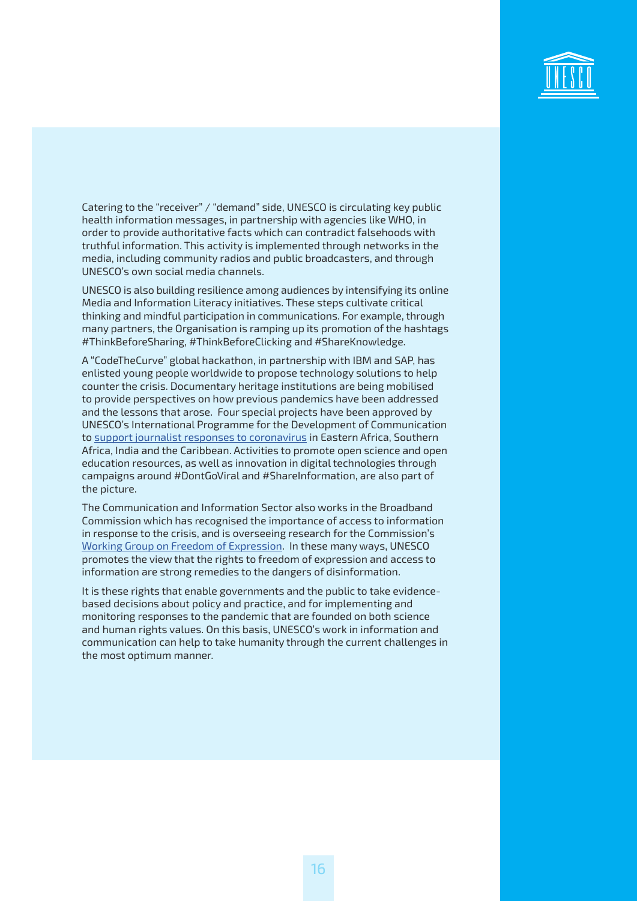

Catering to the "receiver" / "demand" side, UNESCO is circulating key public health information messages, in partnership with agencies like WHO, in order to provide authoritative facts which can contradict falsehoods with truthful information. This activity is implemented through networks in the media, including community radios and public broadcasters, and through UNESCO's own social media channels.

UNESCO is also building resilience among audiences by intensifying its online Media and Information Literacy initiatives. These steps cultivate critical thinking and mindful participation in communications. For example, through many partners, the Organisation is ramping up its promotion of the hashtags #ThinkBeforeSharing, #ThinkBeforeClicking and #ShareKnowledge.

A "CodeTheCurve" global hackathon, in partnership with IBM and SAP, has enlisted young people worldwide to propose technology solutions to help counter the crisis. Documentary heritage institutions are being mobilised to provide perspectives on how previous pandemics have been addressed and the lessons that arose. Four special projects have been approved by UNESCO's International Programme for the Development of Communication to [support journalist responses to coronavirus](https://en.unesco.org/news/unesco-support-media-developing-countries-face-coronavirus-challenge) in Eastern Africa, Southern Africa, India and the Caribbean. Activities to promote open science and open education resources, as well as innovation in digital technologies through campaigns around #DontGoViral and #ShareInformation, are also part of the picture.

The Communication and Information Sector also works in the Broadband Commission which has recognised the importance of access to information in response to the crisis, and is overseeing research for the Commission's [Working Group on Freedom of Expression.](https://www.broadbandcommission.org/workinggroups/Pages/WG4-2019.aspx) In these many ways, UNESCO promotes the view that the rights to freedom of expression and access to information are strong remedies to the dangers of disinformation.

It is these rights that enable governments and the public to take evidencebased decisions about policy and practice, and for implementing and monitoring responses to the pandemic that are founded on both science and human rights values. On this basis, UNESCO's work in information and communication can help to take humanity through the current challenges in the most optimum manner.